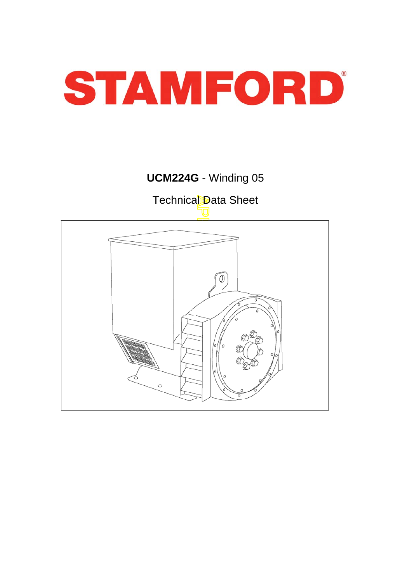

# **UCM224G** - Winding 05

Technical Data Sheet

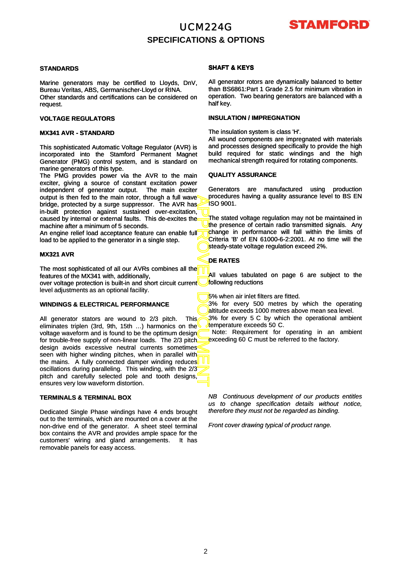

### **SPECIFICATIONS & OPTIONS**

#### **STANDARDS**

Marine generators may be certified to Lloyds, DnV, Bureau Veritas, ABS, Germanischer-Lloyd or RINA. Other standards and certifications can be considered on request.

#### **VOLTAGE REGULATORS**

#### **MX341 AVR - STANDARD**

This sophisticated Automatic Voltage Regulator (AVR) is incorporated into the Stamford Permanent Magnet Generator (PMG) control system, and is standard on marine generators of this type.

The PMG provides power via the AVR to the main exciter, giving a source of constant excitation power independent of generator output. The main exciter output is then fed to the main rotor, through a full wave bridge, protected by a surge suppressor. The AVR has in-built protection against sustained over-excitation, caused by internal or external faults. This de-excites the machine after a minimum of 5 seconds.

An engine relief load acceptance feature can enable full load to be applied to the generator in a single step.

#### **MX321 AVR**

The most sophisticated of all our AVRs combines all the features of the MX341 with, additionally,

over voltage protection is built -in and short circuit current over voltage protection is built-in and short circuit level adjustments as an optional facility.

#### **WINDINGS & ELECTRICAL PERFORMANCE**

APPROVED DOCUMENT All generator stators are wound to 2/3 pitch. This eliminates triplen (3rd, 9th, 15th …) harmonics on the voltage waveform and is found to be the optimum design for trouble-free supply of non-linear loads. The 2/3 pitch design avoids excessive neutral currents sometimes<sup>t</sup> seen with higher winding pitches, when in parallel with the mains. A fully connected damper winding reduces oscillations during paralleling. This winding, with the 2/3 pitch and carefully selected pole and tooth designs, ensures very low waveform distortion.

#### **TERMINALS & TERMINAL BOX**

Dedicated Single Phase windings have 4 ends brought out to the terminals, which are mounted on a cover at the non-drive end of the generator. A sheet steel terminal box contains the AVR and provides ample space for the customers' wiring and gland arrangements. It has removable panels for easy access.

#### **SHAFT & KEYS**

All generator rotors are dynamically balanced to better than BS6861:Part 1 Grade 2.5 for minimum vibration in operation. Two bearing generators are balanced with a half key.

#### **INSULATION / IMPREGNATION**

The insulation system is class 'H'.

All wound components are impregnated with materials and processes designed specifically to provide the high build required for static windings and the high mechanical strength required for rotating components.

#### **QUALITY ASSURANCE**

Generators are manufactured using production procedures having a quality assurance level to BS EN ISO 9001.

The stated voltage regulation may not be maintained in the presence of certain radio transmitted signals. Any change in performance will fall within the limits of Criteria 'B' of EN 61000-6-2:2001. At no time will the steady-state voltage regulation exceed 2%.

#### **DE RATES**

All values tabulated on page 6 are subject to the following reductions

**5% when air inlet filters are fitted.** 

3% for every 500 metres by which the operating altitude exceeds 1000 metres above mean sea level.

3% for every 5 C by which the operational ambient temperature exceeds 50 C.

Note: Requirement for operating in an ambient exceeding 60 C must be referred to the factory.

*NB Continuous development of our products entitles us to change specification details without notice, therefore they must not be regarded as binding.*

*Front cover drawing typical of product range.*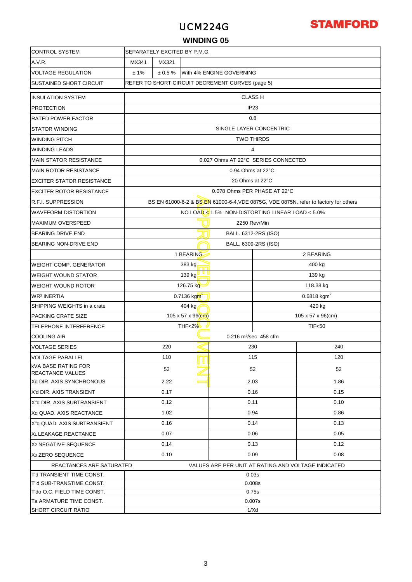# **STAMFORD**

### **WINDING 05**

| <b>CONTROL SYSTEM</b>                                 | SEPARATELY EXCITED BY P.M.G.                        |                                                              |           |                   |                                     |                                                                                      |  |  |  |  |  |
|-------------------------------------------------------|-----------------------------------------------------|--------------------------------------------------------------|-----------|-------------------|-------------------------------------|--------------------------------------------------------------------------------------|--|--|--|--|--|
| A.V.R.                                                | MX341<br>MX321                                      |                                                              |           |                   |                                     |                                                                                      |  |  |  |  |  |
| <b>VOLTAGE REGULATION</b>                             | ± 1%<br>$\pm 0.5 \%$<br>With 4% ENGINE GOVERNING    |                                                              |           |                   |                                     |                                                                                      |  |  |  |  |  |
| <b>SUSTAINED SHORT CIRCUIT</b>                        | REFER TO SHORT CIRCUIT DECREMENT CURVES (page 5)    |                                                              |           |                   |                                     |                                                                                      |  |  |  |  |  |
| <b>INSULATION SYSTEM</b>                              |                                                     |                                                              |           |                   | <b>CLASS H</b>                      |                                                                                      |  |  |  |  |  |
| <b>PROTECTION</b>                                     | IP <sub>23</sub>                                    |                                                              |           |                   |                                     |                                                                                      |  |  |  |  |  |
| <b>RATED POWER FACTOR</b>                             |                                                     | 0.8                                                          |           |                   |                                     |                                                                                      |  |  |  |  |  |
| <b>STATOR WINDING</b>                                 |                                                     | SINGLE LAYER CONCENTRIC                                      |           |                   |                                     |                                                                                      |  |  |  |  |  |
| <b>WINDING PITCH</b>                                  |                                                     |                                                              |           |                   | <b>TWO THIRDS</b>                   |                                                                                      |  |  |  |  |  |
| <b>WINDING LEADS</b>                                  |                                                     |                                                              |           |                   | 4                                   |                                                                                      |  |  |  |  |  |
| <b>MAIN STATOR RESISTANCE</b>                         |                                                     |                                                              |           |                   | 0.027 Ohms AT 22°C SERIES CONNECTED |                                                                                      |  |  |  |  |  |
| <b>MAIN ROTOR RESISTANCE</b>                          |                                                     |                                                              |           | 0.94 Ohms at 22°C |                                     |                                                                                      |  |  |  |  |  |
| <b>EXCITER STATOR RESISTANCE</b>                      |                                                     |                                                              |           | 20 Ohms at 22°C   |                                     |                                                                                      |  |  |  |  |  |
| <b>EXCITER ROTOR RESISTANCE</b>                       |                                                     |                                                              |           |                   | 0.078 Ohms PER PHASE AT 22°C        |                                                                                      |  |  |  |  |  |
| <b>R.F.I. SUPPRESSION</b>                             |                                                     |                                                              |           |                   |                                     | BS EN 61000-6-2 & BS EN 61000-6-4, VDE 0875G, VDE 0875N. refer to factory for others |  |  |  |  |  |
| <b>WAVEFORM DISTORTION</b>                            |                                                     | NO LOAD $\leq 1.5\%$ NON-DISTORTING LINEAR LOAD $\leq 5.0\%$ |           |                   |                                     |                                                                                      |  |  |  |  |  |
| <b>MAXIMUM OVERSPEED</b>                              | 2250 Rev/Min                                        |                                                              |           |                   |                                     |                                                                                      |  |  |  |  |  |
| <b>BEARING DRIVE END</b>                              | BALL. 6312-2RS (ISO)                                |                                                              |           |                   |                                     |                                                                                      |  |  |  |  |  |
| BEARING NON-DRIVE END                                 | BALL. 6309-2RS (ISO)                                |                                                              |           |                   |                                     |                                                                                      |  |  |  |  |  |
|                                                       |                                                     |                                                              | 1 BEARING |                   |                                     | 2 BEARING                                                                            |  |  |  |  |  |
| WEIGHT COMP. GENERATOR                                | 383 kg<br>400 kg                                    |                                                              |           |                   |                                     |                                                                                      |  |  |  |  |  |
| <b>WEIGHT WOUND STATOR</b>                            | 139 kg<br>139 kg                                    |                                                              |           |                   |                                     |                                                                                      |  |  |  |  |  |
| <b>WEIGHT WOUND ROTOR</b>                             | 126.75 kg<br>118.38 kg                              |                                                              |           |                   |                                     |                                                                                      |  |  |  |  |  |
| <b>WR<sup>2</sup> INERTIA</b>                         | 0.7136 kgm <sup>2</sup><br>0.6818 kgm <sup>2</sup>  |                                                              |           |                   |                                     |                                                                                      |  |  |  |  |  |
| SHIPPING WEIGHTS in a crate                           | 404 kg<br>420 kg                                    |                                                              |           |                   |                                     |                                                                                      |  |  |  |  |  |
| PACKING CRATE SIZE                                    | 105 x 57 x 96(cm)<br>$105 \times 57 \times 96$ (cm) |                                                              |           |                   |                                     |                                                                                      |  |  |  |  |  |
| <b>TELEPHONE INTERFERENCE</b>                         | <b>THF&lt;2%</b><br><b>TIF&lt;50</b>                |                                                              |           |                   |                                     |                                                                                      |  |  |  |  |  |
| <b>COOLING AIR</b>                                    | 0.216 m <sup>3</sup> /sec 458 cfm                   |                                                              |           |                   |                                     |                                                                                      |  |  |  |  |  |
| <b>VOLTAGE SERIES</b>                                 | 220<br>240<br>230                                   |                                                              |           |                   |                                     |                                                                                      |  |  |  |  |  |
| <b>VOLTAGE PARALLEL</b>                               |                                                     | 110                                                          |           |                   | 115                                 | 120                                                                                  |  |  |  |  |  |
| <b>KVA BASE RATING FOR</b><br><b>REACTANCE VALUES</b> | 52<br>52<br>52                                      |                                                              |           |                   |                                     |                                                                                      |  |  |  |  |  |
| Xd DIR. AXIS SYNCHRONOUS                              | 2.22<br>2.03<br>1.86<br>$\overline{\phantom{0}}$    |                                                              |           |                   |                                     |                                                                                      |  |  |  |  |  |
| X'd DIR. AXIS TRANSIENT                               |                                                     | 0.17                                                         |           |                   | 0.16                                | 0.15                                                                                 |  |  |  |  |  |
| X"d DIR. AXIS SUBTRANSIENT                            |                                                     | 0.12<br>0.11<br>0.10                                         |           |                   |                                     |                                                                                      |  |  |  |  |  |
| Xq QUAD. AXIS REACTANCE                               |                                                     | 1.02                                                         |           |                   | 0.94                                | 0.86                                                                                 |  |  |  |  |  |
| X"q QUAD. AXIS SUBTRANSIENT                           |                                                     | 0.16                                                         |           |                   | 0.14                                | 0.13                                                                                 |  |  |  |  |  |
| <b>XL LEAKAGE REACTANCE</b>                           |                                                     | 0.07                                                         |           |                   | 0.06                                | 0.05                                                                                 |  |  |  |  |  |
| X <sub>2</sub> NEGATIVE SEQUENCE                      |                                                     | 0.14                                                         |           |                   | 0.13                                | 0.12                                                                                 |  |  |  |  |  |
| X <sub>0</sub> ZERO SEQUENCE                          |                                                     | 0.10                                                         |           |                   | 0.09                                | 0.08                                                                                 |  |  |  |  |  |
| REACTANCES ARE SATURATED                              |                                                     |                                                              |           |                   |                                     | VALUES ARE PER UNIT AT RATING AND VOLTAGE INDICATED                                  |  |  |  |  |  |
| T'd TRANSIENT TIME CONST.                             |                                                     |                                                              |           |                   | 0.03s                               |                                                                                      |  |  |  |  |  |
| T"d SUB-TRANSTIME CONST.                              | 0.008s                                              |                                                              |           |                   |                                     |                                                                                      |  |  |  |  |  |
| T'do O.C. FIELD TIME CONST.                           | 0.75s                                               |                                                              |           |                   |                                     |                                                                                      |  |  |  |  |  |
| Ta ARMATURE TIME CONST.<br><b>SHORT CIRCUIT RATIO</b> |                                                     |                                                              |           |                   | 0.007s                              |                                                                                      |  |  |  |  |  |
|                                                       | 1/Xd                                                |                                                              |           |                   |                                     |                                                                                      |  |  |  |  |  |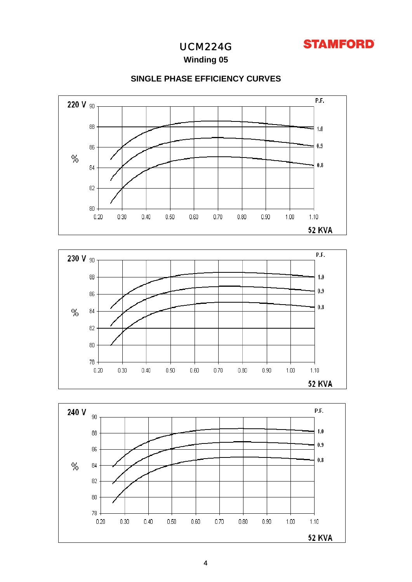

**Winding 05**

### **SINGLE PHASE EFFICIENCY CURVES**





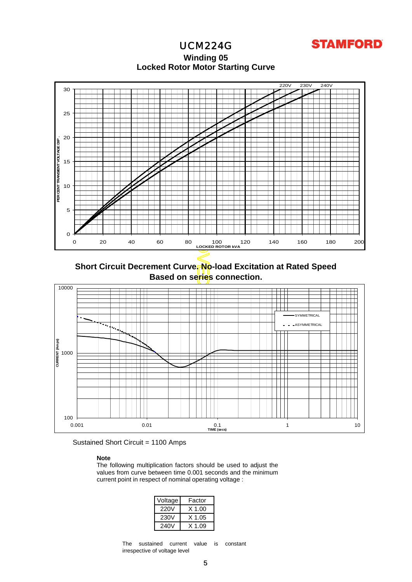

**Locked Rotor Motor Startin g Curve Winding 05**



**Short Circuit Decrement Curve. No-load Excitation at Rated Speed Based on series connection.**





#### **Note**

The following multiplication factors should be used to adjust the values from curve between time 0.001 seconds and the minimum current point in respect of nominal operating voltage :

| Voltage | Factor   |  |  |  |  |
|---------|----------|--|--|--|--|
| 220V    | $X$ 1.00 |  |  |  |  |
| 230V    | X 1.05   |  |  |  |  |
| 240V    | X 1 09   |  |  |  |  |

The sustained current value is constant irrespective of voltage level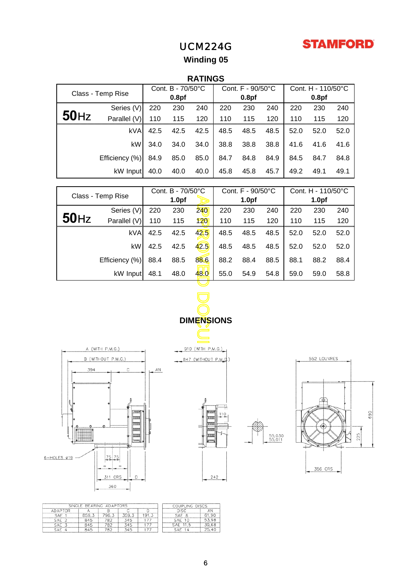

# **Winding 05**

## **RATINGS**

| Class - Temp Rise |                | Cont. B - 70/50°C |      |      | Cont. F - 90/50°C |      |      | Cont. H - 110/50°C |      |      |
|-------------------|----------------|-------------------|------|------|-------------------|------|------|--------------------|------|------|
|                   |                | 0.8 <sub>pf</sub> |      |      | 0.8 <sub>pf</sub> |      |      | 0.8 <sub>pf</sub>  |      |      |
|                   | Series (V)     | 220               | 230  | 240  | 220               | 230  | 240  | 220                | 230  | 240  |
| $50$ Hz           | Parallel (V)   | 110               | 115  | 120  | 110               | 115  | 120  | 110                | 115  | 120  |
|                   | <b>kVA</b>     | 42.5              | 42.5 | 42.5 | 48.5              | 48.5 | 48.5 | 52.0               | 52.0 | 52.0 |
|                   | kW1            | 34.0              | 34.0 | 34.0 | 38.8              | 38.8 | 38.8 | 41.6               | 41.6 | 41.6 |
|                   | Efficiency (%) | 84.9              | 85.0 | 85.0 | 84.7              | 84.8 | 84.9 | 84.5               | 84.7 | 84.8 |
|                   | kW Input       | 40.0              | 40.0 | 40.0 | 45.8              | 45.8 | 45.7 | 49.2               | 49.1 | 49.1 |

| Class - Temp Rise |                    | Cont. B - 70/50°C |      |                      | Cont. F - 90/50°C |      |                   | Cont. H - 110/50°C |             |      |
|-------------------|--------------------|-------------------|------|----------------------|-------------------|------|-------------------|--------------------|-------------|------|
|                   |                    | 1.0 <sub>pf</sub> |      | 1.0 <sub>pf</sub>    |                   |      | 1.0 <sub>pf</sub> |                    |             |      |
|                   | Series (V)         | 220               | 230  | 240                  | 220               | 230  | 240               | 220                | 230         | 240  |
| 50 <sub>Hz</sub>  | Parallel (V)       | 110               | 115  | 120                  | 110               | 115  | 120               | 110                | 115         | 120  |
|                   | <b>kVA</b>         | 42.5              | 42.5 | 42.5                 | 48.5              | 48.5 | 48.5              | 52.0               | 52.0        | 52.0 |
|                   | kW                 | 42.5              | 42.5 | 42.5                 | 48.5              | 48.5 | 48.5              | 52.0               | 52.0        | 52.0 |
|                   | Efficiency (%)     | 88.4              | 88.5 | 88.6                 | 88.2              | 88.4 | 88.5              | 88.1               | 88.2        | 88.4 |
|                   | kW Input           | 48.1              | 48.0 | 48.0                 | 55.0              | 54.9 | 54.8              | 59.0               | 59.0        | 58.8 |
|                   |                    |                   |      |                      |                   |      |                   |                    |             |      |
|                   |                    |                   |      |                      |                   |      |                   |                    |             |      |
|                   |                    |                   |      |                      |                   |      |                   |                    |             |      |
|                   |                    |                   |      | <b>DIMENSIONS</b>    |                   |      |                   |                    |             |      |
|                   |                    |                   |      |                      |                   |      |                   |                    |             |      |
|                   | A (WITH P.M.G.)    |                   |      | 910 (WITH P.M.G.)    |                   |      |                   |                    |             |      |
|                   | B (WITHOUT P.M.G.) |                   |      | 847 (WITHOUT P.M.G.) |                   |      |                   |                    | 552 LOUVRES |      |
| 394               | С                  | AN                |      |                      |                   |      |                   |                    |             |      |
|                   |                    |                   |      |                      |                   |      |                   |                    |             |      |









|                 | SINGLE BEARING ADAPTORS | COUPLING DISCS |       |       |            |       |
|-----------------|-------------------------|----------------|-------|-------|------------|-------|
| ADAPTOR         |                         |                |       |       | DISC       | ΑN    |
| SAE             | 859.3                   | 796.3          | 359,3 | 191.5 | SAE 8      | 61.90 |
| SAE :           | 845                     | 782            | 345   |       | SAE 10     | 53.98 |
| SAE 3           | 845                     | 782            | 345   | 177   | SAE 11.5   | 39.68 |
| SAE<br>$\Delta$ | 845                     | 782            | 345   |       | <b>SAF</b> | 25.40 |